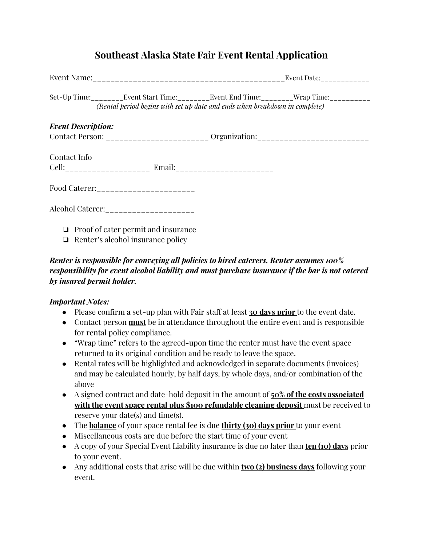## **Southeast Alaska State Fair Event Rental Application**

|                           | (Rental period begins with set up date and ends when breakdown in complete)            |  | Set-Up Time:__________Event Start Time:__________Event End Time:________Wrap Time:___________ |  |
|---------------------------|----------------------------------------------------------------------------------------|--|-----------------------------------------------------------------------------------------------|--|
| <b>Event Description:</b> |                                                                                        |  |                                                                                               |  |
|                           | Contact Person: ________________________ Organization: _________________________       |  |                                                                                               |  |
| Contact Info              |                                                                                        |  |                                                                                               |  |
|                           |                                                                                        |  |                                                                                               |  |
|                           | Alcohol Caterer: ______________________                                                |  |                                                                                               |  |
|                           | $\Box$ Proof of cater permit and insurance<br>$\Box$ Renter's alcohol insurance policy |  |                                                                                               |  |

## *Renter is responsible for conveying all policies to hired caterers. Renter assumes 100% responsibility for event alcohol liability and must purchase insurance if the bar is not catered by insured permit holder.*

#### *Important Notes:*

- Please confirm a set-up plan with Fair staff at least **30 days prior** to the event date.
- Contact person **must** be in attendance throughout the entire event and is responsible for rental policy compliance.
- "Wrap time" refers to the agreed-upon time the renter must have the event space returned to its original condition and be ready to leave the space.
- Rental rates will be highlighted and acknowledged in separate documents (invoices) and may be calculated hourly, by half days, by whole days, and/or combination of the above
- A signed contract and date-hold deposit in the amount of **50% of the costs associated with the event space rental plus \$100 refundable cleaning deposit** must be received to reserve your date(s) and time(s).
- The **balance** of your space rental fee is due **thirty (30) days prior** to your event
- Miscellaneous costs are due before the start time of your event
- A copy of your Special Event Liability insurance is due no later than **ten (10) days** prior to your event.
- Any additional costs that arise will be due within **two (2) business days** following your event.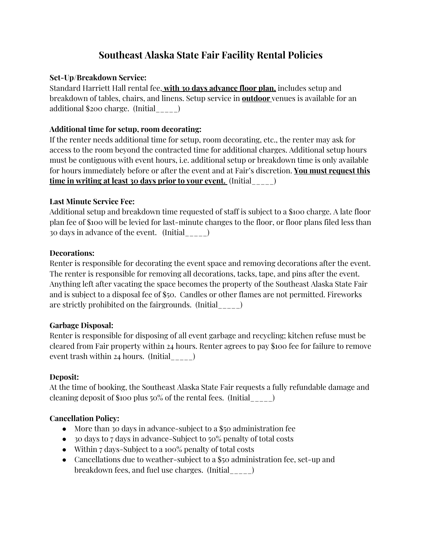## **Southeast Alaska State Fair Facility Rental Policies**

## **Set-Up/Breakdown Service:**

Standard Harriett Hall rental fee, **with 30 days advance floor plan,** includes setup and breakdown of tables, chairs, and linens. Setup service in **outdoor** venues is available for an additional \$200 charge. (Initial\_\_\_\_\_)

## **Additional time for setup, room decorating:**

If the renter needs additional time for setup, room decorating, etc., the renter may ask for access to the room beyond the contracted time for additional charges. Additional setup hours must be contiguous with event hours, i.e. additional setup or breakdown time is only available for hours immediately before or after the event and at Fair's discretion. **You must request this time in writing at least 30 days prior to your event.** (Initial\_\_\_\_\_)

## **Last Minute Service Fee:**

Additional setup and breakdown time requested of staff is subject to a \$100 charge. A late floor plan fee of \$100 will be levied for last-minute changes to the floor, or floor plans filed less than 30 days in advance of the event. (Initial\_\_\_\_\_)

## **Decorations:**

Renter is responsible for decorating the event space and removing decorations after the event. The renter is responsible for removing all decorations, tacks, tape, and pins after the event. Anything left after vacating the space becomes the property of the Southeast Alaska State Fair and is subject to a disposal fee of \$50. Candles or other flames are not permitted. Fireworks are strictly prohibited on the fairgrounds. (Initial\_\_\_\_\_)

## **Garbage Disposal:**

Renter is responsible for disposing of all event garbage and recycling; kitchen refuse must be cleared from Fair property within 24 hours. Renter agrees to pay \$100 fee for failure to remove event trash within 24 hours. (Initial\_\_\_\_\_)

## **Deposit:**

At the time of booking, the Southeast Alaska State Fair requests a fully refundable damage and cleaning deposit of \$100 plus 50% of the rental fees. (Initial\_\_\_\_\_)

## **Cancellation Policy:**

- More than 30 days in advance-subject to a \$50 administration fee
- 30 days to 7 days in advance-Subject to 50% penalty of total costs
- Within 7 days-Subject to a 100% penalty of total costs
- Cancellations due to weather-subject to a \$50 administration fee, set-up and breakdown fees, and fuel use charges. (Initial\_\_\_\_\_)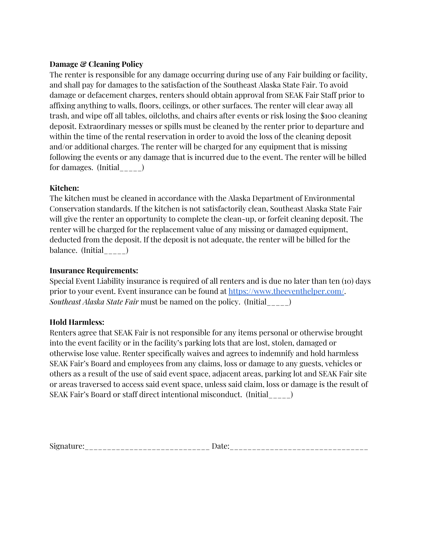#### **Damage & Cleaning Policy**

The renter is responsible for any damage occurring during use of any Fair building or facility, and shall pay for damages to the satisfaction of the Southeast Alaska State Fair. To avoid damage or defacement charges, renters should obtain approval from SEAK Fair Staff prior to affixing anything to walls, floors, ceilings, or other surfaces. The renter will clear away all trash, and wipe off all tables, oilcloths, and chairs after events or risk losing the \$100 cleaning deposit. Extraordinary messes or spills must be cleaned by the renter prior to departure and within the time of the rental reservation in order to avoid the loss of the cleaning deposit and/or additional charges. The renter will be charged for any equipment that is missing following the events or any damage that is incurred due to the event. The renter will be billed for damages. (Initial\_\_\_\_\_)

#### **Kitchen:**

The kitchen must be cleaned in accordance with the Alaska Department of Environmental Conservation standards. If the kitchen is not satisfactorily clean, Southeast Alaska State Fair will give the renter an opportunity to complete the clean-up, or forfeit cleaning deposit. The renter will be charged for the replacement value of any missing or damaged equipment, deducted from the deposit. If the deposit is not adequate, the renter will be billed for the balance.  $(Initial_{\_\_\_\_})$ 

#### **Insurance Requirements:**

Special Event Liability insurance is required of all renters and is due no later than ten (10) days prior to your event. Event insurance can be found at [https://www.theeventhelper.com/.](https://www.theeventhelper.com/) *Southeast Alaska State Fair* must be named on the policy. (Initial\_\_\_\_\_)

#### **Hold Harmless:**

Renters agree that SEAK Fair is not responsible for any items personal or otherwise brought into the event facility or in the facility's parking lots that are lost, stolen, damaged or otherwise lose value. Renter specifically waives and agrees to indemnify and hold harmless SEAK Fair's Board and employees from any claims, loss or damage to any guests, vehicles or others as a result of the use of said event space, adjacent areas, parking lot and SEAK Fair site or areas traversed to access said event space, unless said claim, loss or damage is the result of SEAK Fair's Board or staff direct intentional misconduct. (Initial\_\_\_\_\_)

| $\sim$<br>______________________________ | _________________________________ |
|------------------------------------------|-----------------------------------|
|------------------------------------------|-----------------------------------|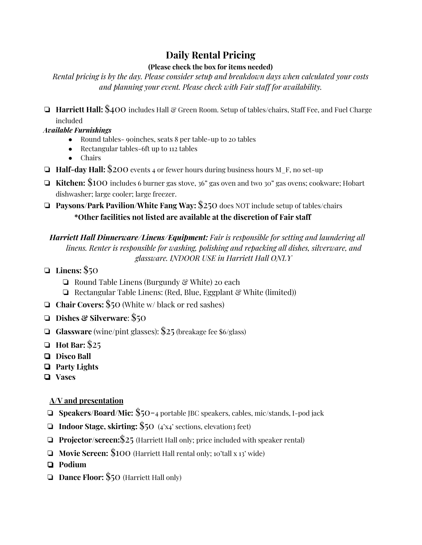# **Daily Rental Pricing**

## **(Please check the box for items needed)**

*Rental pricing is by the day. Please consider setup and breakdown days when calculated your costs and planning your event. Please check with Fair staff for availability.*

❏ **Harriett Hall:** \$400 includes Hall & Green Room. Setup of tables/chairs, Staff Fee, and Fuel Charge included

*Available Furnishings*

- Round tables- 90 inches, seats 8 per table-up to 20 tables
- Rectangular tables-6ft up to 112 tables
- Chairs
- ❏ **Half-day Hall:** \$200 events 4 or fewer hours during business hours M\_F, no set-up
- ❏ **Kitchen:** \$100 includes 6 burner gas stove, 36" gas oven and two 30" gas ovens; cookware; Hobart dishwasher; large cooler; large freezer.
- ❏ **Paysons/Park Pavilion/White Fang Way:** \$250 does NOT include setup of tables/chairs **\*Other facilities not listed are available at the discretion of Fair staff**

*Harriett Hall Dinnerware/Linens/Equipment: Fair is responsible for setting and laundering all linens. Renter is responsible for washing, polishing and repacking all dishes, silverware, and glassware. INDOOR USE in Harriett Hall ONLY*

- ❏ **Linens:** \$50
	- ❏ Round Table Linens (Burgundy & White) 20 each
	- ❏ Rectangular Table Linens: (Red, Blue, Eggplant & White (limited))
- ❏ **Chair Covers:** \$50 (White w/ black or red sashes)
- ❏ **Dishes & Silverware**: \$50
- ❏ **Glassware** (wine/pint glasses): \$25 (breakage fee \$6/glass)
- ❏ **Hot Bar:** \$25
- ❏ **Disco Ball**
- ❏ **Party Lights**
- ❏ **Vases**

## **A/V and presentation**

- ❏ **Speakers/Board/Mic:** \$50-4 portable JBC speakers, cables, mic/stands, I-pod jack
- ❏ **Indoor Stage, skirting:** \$50 (4'x4' sections, elevation3 feet)
- ❏ **Projector/screen:**\$25 (Harriett Hall only; price included with speaker rental)
- ❏ **Movie Screen:** \$100 (Harriett Hall rental only; 10'tall x 13' wide)
- ❏ **Podium**
- ❏ **Dance Floor:** \$50 (Harriett Hall only)